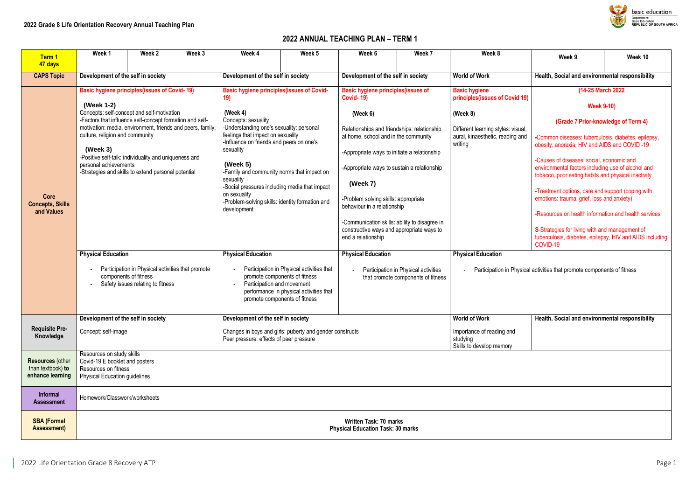# **2022 ANNUAL TEACHING PLAN – TERM 1**

| Term 1<br>47 days                                                | Week 1                                                                                                                                                                                                               | Week 2 | Week 3 | Week 4                                                                                                                          | Week 5                                                                               | Week 6                                                                                     | Week 7                                                                     | Week 8                                                                  | Week 9                                                                                                                                                 | Week 10                                                  |  |  |
|------------------------------------------------------------------|----------------------------------------------------------------------------------------------------------------------------------------------------------------------------------------------------------------------|--------|--------|---------------------------------------------------------------------------------------------------------------------------------|--------------------------------------------------------------------------------------|--------------------------------------------------------------------------------------------|----------------------------------------------------------------------------|-------------------------------------------------------------------------|--------------------------------------------------------------------------------------------------------------------------------------------------------|----------------------------------------------------------|--|--|
| <b>CAPS Topic</b>                                                | Development of the self in society                                                                                                                                                                                   |        |        | Development of the self in society                                                                                              |                                                                                      | Development of the self in society                                                         |                                                                            | <b>World of Work</b>                                                    | Health, Social and environmental responsibility                                                                                                        |                                                          |  |  |
|                                                                  | <b>Basic hygiene principles (issues of Covid-19)</b>                                                                                                                                                                 |        |        | <b>Basic hygiene principles (issues of Covid-</b><br>19)                                                                        |                                                                                      | <b>Basic hygiene principles (issues of</b><br><b>Covid-19)</b>                             |                                                                            | <b>Basic hygiene</b><br>principles(issues of Covid 19)                  |                                                                                                                                                        | (14-25 March 2022)                                       |  |  |
|                                                                  | (Week 1-2)<br>Concepts: self-concept and self-motivation<br>-Factors that influence self-concept formation and self-<br>motivation: media, environment, friends and peers, family<br>culture, religion and community |        |        | (Week 4)<br>Concepts: sexuality<br>-Understanding one's sexuality: personal<br>feelings that impact on sexuality                |                                                                                      | (Week 6)<br>Relationships and friendships: relationship                                    |                                                                            | (Week 8)<br>Different learning styles: visual,                          |                                                                                                                                                        | <b>Week 9-10)</b><br>(Grade 7 Prior-knowledge of Term 4) |  |  |
|                                                                  | (Week 3)<br>-Positive self-talk: individuality and uniqueness and                                                                                                                                                    |        |        | -Influence on friends and peers on one's<br>sexuality                                                                           |                                                                                      | at home, school and in the community<br>-Appropriate ways to initiate a relationship       |                                                                            | aural, kinaesthetic, reading and<br>writing                             | -Common diseases: tuberculosis, diabetes, epilepsy,<br>obesity, anorexia, HIV and AIDS and COVID-19                                                    |                                                          |  |  |
|                                                                  | personal achievements<br>-Strategies and skills to extend personal potential                                                                                                                                         |        |        | (Week $5)$<br>-Family and community norms that impact on<br>sexuality                                                           |                                                                                      | -Appropriate ways to sustain a relationship<br>(Week 7)                                    |                                                                            |                                                                         | -Causes of diseases: social, economic and<br>environmental factors including use of alcohol and<br>tobacco, poor eating habits and physical inactivity |                                                          |  |  |
| <b>Core</b><br><b>Concepts, Skills</b><br>and Values             |                                                                                                                                                                                                                      |        |        | -Social pressures including media that impact<br>on sexuality<br>-Problem-solving skills: identity formation and<br>development |                                                                                      | -Problem solving skills: appropriate<br>behaviour in a relationship                        |                                                                            |                                                                         | -Treatment options, care and support (coping with<br>emotions: trauma, grief, loss and anxiety)                                                        |                                                          |  |  |
|                                                                  |                                                                                                                                                                                                                      |        |        |                                                                                                                                 |                                                                                      | -Communication skills: ability to disagree in<br>constructive ways and appropriate ways to |                                                                            |                                                                         | S-Strategies for living with and management of                                                                                                         | -Resources on health information and health services     |  |  |
|                                                                  |                                                                                                                                                                                                                      |        |        |                                                                                                                                 |                                                                                      | end a relationship                                                                         |                                                                            |                                                                         | COVID-19                                                                                                                                               | tuberculosis, diabetes, epilepsy, HIV and AIDS including |  |  |
|                                                                  | <b>Physical Education</b>                                                                                                                                                                                            |        |        | <b>Physical Education</b><br><b>Physical Education</b>                                                                          |                                                                                      |                                                                                            |                                                                            | <b>Physical Education</b>                                               |                                                                                                                                                        |                                                          |  |  |
|                                                                  | Participation in Physical activities that promote<br>components of fitness<br>Safety issues relating to fitness                                                                                                      |        |        | promote components of fitness<br>Participation and movement<br>promote components of fitness                                    | Participation in Physical activities that<br>performance in physical activities that |                                                                                            | Participation in Physical activities<br>that promote components of fitness | Participation in Physical activities that promote components of fitness |                                                                                                                                                        |                                                          |  |  |
|                                                                  | Development of the self in society                                                                                                                                                                                   |        |        | Development of the self in society                                                                                              |                                                                                      |                                                                                            |                                                                            | <b>World of Work</b>                                                    | Health, Social and environmental responsibility                                                                                                        |                                                          |  |  |
| <b>Requisite Pre-</b><br>Knowledge                               | Concept: self-image                                                                                                                                                                                                  |        |        | Changes in boys and girls: puberty and gender constructs<br>Peer pressure: effects of peer pressure                             |                                                                                      |                                                                                            |                                                                            | Importance of reading and<br>studying<br>Skills to develop memory       |                                                                                                                                                        |                                                          |  |  |
| <b>Resources (other</b><br>than textbook) to<br>enhance learning | Resources on study skills<br>Covid-19 E booklet and posters<br>Resources on fitness<br><b>Physical Education guidelines</b>                                                                                          |        |        |                                                                                                                                 |                                                                                      |                                                                                            |                                                                            |                                                                         |                                                                                                                                                        |                                                          |  |  |
|                                                                  |                                                                                                                                                                                                                      |        |        |                                                                                                                                 |                                                                                      |                                                                                            |                                                                            |                                                                         |                                                                                                                                                        |                                                          |  |  |
| <b>Informal</b><br><b>Assessment</b>                             | Homework/Classwork/worksheets                                                                                                                                                                                        |        |        |                                                                                                                                 |                                                                                      |                                                                                            |                                                                            |                                                                         |                                                                                                                                                        |                                                          |  |  |
| <b>SBA (Formal</b><br><b>Assessment)</b>                         | <b>Written Task: 70 marks</b><br><b>Physical Education Task: 30 marks</b>                                                                                                                                            |        |        |                                                                                                                                 |                                                                                      |                                                                                            |                                                                            |                                                                         |                                                                                                                                                        |                                                          |  |  |
|                                                                  |                                                                                                                                                                                                                      |        |        |                                                                                                                                 |                                                                                      |                                                                                            |                                                                            |                                                                         |                                                                                                                                                        |                                                          |  |  |

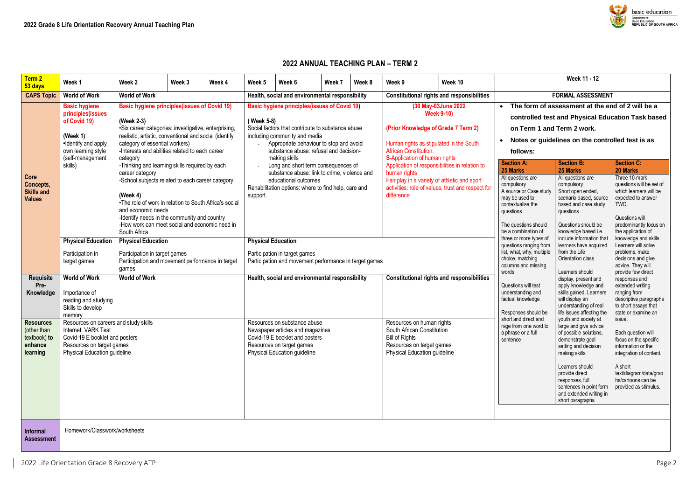## **2022 ANNUAL TEACHING PLAN – TERM 2**

| Term 2<br>53 days                                                      | Week 1                                                                                                                                                                                                                                                                                                                                                                                                                                                                                          | Week 2                                                                                      | Week 3                                                                                                                                                                                                        | Week 4 | Week 5                    | Week 6                                                                                                                                                                                                                                                                                                | Week 7 | Week 8 | Week 9                                                                                                                                               | Week 10                                                                                                                                                                       | Week 11 - 12                                                                                                                                                                                                                                                       |                                                                                                                                                                                                                                                                                                                                                                                                                             |                                                                                                                                                                                                                                       |  |  |
|------------------------------------------------------------------------|-------------------------------------------------------------------------------------------------------------------------------------------------------------------------------------------------------------------------------------------------------------------------------------------------------------------------------------------------------------------------------------------------------------------------------------------------------------------------------------------------|---------------------------------------------------------------------------------------------|---------------------------------------------------------------------------------------------------------------------------------------------------------------------------------------------------------------|--------|---------------------------|-------------------------------------------------------------------------------------------------------------------------------------------------------------------------------------------------------------------------------------------------------------------------------------------------------|--------|--------|------------------------------------------------------------------------------------------------------------------------------------------------------|-------------------------------------------------------------------------------------------------------------------------------------------------------------------------------|--------------------------------------------------------------------------------------------------------------------------------------------------------------------------------------------------------------------------------------------------------------------|-----------------------------------------------------------------------------------------------------------------------------------------------------------------------------------------------------------------------------------------------------------------------------------------------------------------------------------------------------------------------------------------------------------------------------|---------------------------------------------------------------------------------------------------------------------------------------------------------------------------------------------------------------------------------------|--|--|
| <b>CAPS Topic</b>                                                      | <b>World of Work</b>                                                                                                                                                                                                                                                                                                                                                                                                                                                                            | <b>World of Work</b>                                                                        |                                                                                                                                                                                                               |        |                           | Health, social and environmental responsibility                                                                                                                                                                                                                                                       |        |        |                                                                                                                                                      | <b>Constitutional rights and responsibilities</b>                                                                                                                             |                                                                                                                                                                                                                                                                    | <b>FORMAL ASSESSMENT</b>                                                                                                                                                                                                                                                                                                                                                                                                    |                                                                                                                                                                                                                                       |  |  |
|                                                                        | <b>Basic hygiene principles (issues of Covid 19)</b><br><b>Basic hygiene</b><br>principles(issues<br>of Covid 19)<br>(Week 2-3)<br>•Six career categories: investigative, enterprising,<br>(Week $1$ )<br>realistic, artistic, conventional and social (identify<br>•Identify and apply<br>category of essential workers)<br>-Interests and abilities related to each career<br>own learning style<br>(self-management<br>category<br>skills)<br>-Thinking and learning skills required by each |                                                                                             |                                                                                                                                                                                                               |        |                           | <b>Basic hygiene principles (issues of Covid 19)</b><br>(Week 5-8)<br>Social factors that contribute to substance abuse<br>including community and media<br>Appropriate behaviour to stop and avoid<br>substance abuse: refusal and decision-<br>making skills<br>Long and short term consequences of |        |        | <b>African Constitution:</b><br>S-Application of human rights                                                                                        | (30 May-03June 2022)<br><b>Week 9-10)</b><br>(Prior Knowledge of Grade 7 Term 2)<br>Human rights as stipulated in the South<br>Application of responsibilities in relation to | The form of assessment at the end of 2 will be a<br>controlled test and Physical Education Task based<br>on Term 1 and Term 2 work.<br>Notes or guidelines on the controlled test is as<br>follows:<br><b>Section C:</b><br><b>Section A:</b><br><b>Section B:</b> |                                                                                                                                                                                                                                                                                                                                                                                                                             |                                                                                                                                                                                                                                       |  |  |
| Core<br>Concepts,<br><b>Skills and</b><br><b>Values</b>                |                                                                                                                                                                                                                                                                                                                                                                                                                                                                                                 | career category<br>(Week 4)<br>and economic needs<br>South Africa                           | -School subjects related to each career category.<br>•The role of work in relation to South Africa's social<br>-Identify needs in the community and country<br>-How work can meet social and economic need in |        | support                   | substance abuse: link to crime, violence and<br>educational outcomes<br>Rehabilitation options: where to find help, care and                                                                                                                                                                          |        |        | human rights<br>difference                                                                                                                           | Fair play in a variety of athletic and sport<br>activities: role of values, trust and respect for                                                                             | 25 Marks<br>All questions are<br>compulsory<br>A source or Case study<br>may be used to<br>contextualise the<br>questions<br>The questions should<br>be a combination of                                                                                           | 25 Marks<br>All questions are<br>compulsory<br>Short open ended,<br>scenario based, source<br>based and case study<br>TWO.<br>questions<br>Questions should be<br>knowledge based i.e.<br>include information that<br>learners have acquired<br>from the Life<br>Orientation class<br>Learners should<br>display, present and<br>apply knowledge and<br>skills gained. Learners<br>will display an<br>understanding of real | <b>20 Marks</b><br>Three 10-mark<br>questions will be set of<br>which learners will be<br>expected to answer<br>Questions will<br>predominantly focus on<br>the application of                                                        |  |  |
| <b>Requisite</b><br>Pre-<br>Knowledge                                  | <b>Physical Education</b><br>Participation in<br>target games<br><b>World of Work</b><br>Importance of<br>reading and studying<br>Skills to develop                                                                                                                                                                                                                                                                                                                                             | <b>Physical Education</b><br>Participation in target games<br>games<br><b>World of Work</b> | Participation and movement performance in target                                                                                                                                                              |        | <b>Physical Education</b> | Participation in target games<br>Participation and movement performance in target games<br>Health, social and environmental responsibility                                                                                                                                                            |        |        |                                                                                                                                                      | <b>Constitutional rights and responsibilities</b>                                                                                                                             | three or more types of<br>questions ranging from<br>list, what, why, multiple<br>choice, matching<br>columns and missing<br>words.<br>Questions will test<br>understanding and<br>factual knowledge                                                                |                                                                                                                                                                                                                                                                                                                                                                                                                             | knowledge and skills<br>Learners will solve<br>problems, make<br>decisions and give<br>advice. They will<br>provide few direct<br>responses and<br>extended writing<br>ranging from<br>descriptive paragraphs<br>to short essays that |  |  |
| <b>Resources</b><br>(other than<br>textbook) to<br>enhance<br>learning | memory<br>Resources on careers and study skills<br>Internet: VARK Test<br>Covid-19 E booklet and posters<br>Resources on target games<br><b>Physical Education guideline</b>                                                                                                                                                                                                                                                                                                                    |                                                                                             |                                                                                                                                                                                                               |        |                           | Resources on substance abuse<br>Newspaper articles and magazines<br>Covid-19 E booklet and posters<br>Resources on target games<br><b>Physical Education guideline</b>                                                                                                                                |        |        | Resources on human rights<br>South African Constitution<br><b>Bill of Rights</b><br>Resources on target games<br><b>Physical Education guideline</b> |                                                                                                                                                                               | Responses should be<br>short and direct and<br>rage from one word to<br>a phrase or a full<br>sentence                                                                                                                                                             | life issues affecting the<br>youth and society at<br>large and give advice<br>of possible solutions,<br>demonstrate goal<br>setting and decision<br>making skills<br>Learners should<br>provide direct<br>responses, full<br>sentences in point form<br>and extended writing in<br>short paragraphs                                                                                                                         | state or examine an<br>issue.<br>Each question will<br>focus on the specific<br>information or the<br>integration of content.<br>A short<br>text/diagram/data/grap<br>hs/cartoons can be<br>provided as stimulus.                     |  |  |
| Informal<br><b>Assessment</b>                                          | Homework/Classwork/worksheets                                                                                                                                                                                                                                                                                                                                                                                                                                                                   |                                                                                             |                                                                                                                                                                                                               |        |                           |                                                                                                                                                                                                                                                                                                       |        |        |                                                                                                                                                      |                                                                                                                                                                               |                                                                                                                                                                                                                                                                    |                                                                                                                                                                                                                                                                                                                                                                                                                             |                                                                                                                                                                                                                                       |  |  |

2022 Life Orientation Grade 8 Recovery ATP Page 2

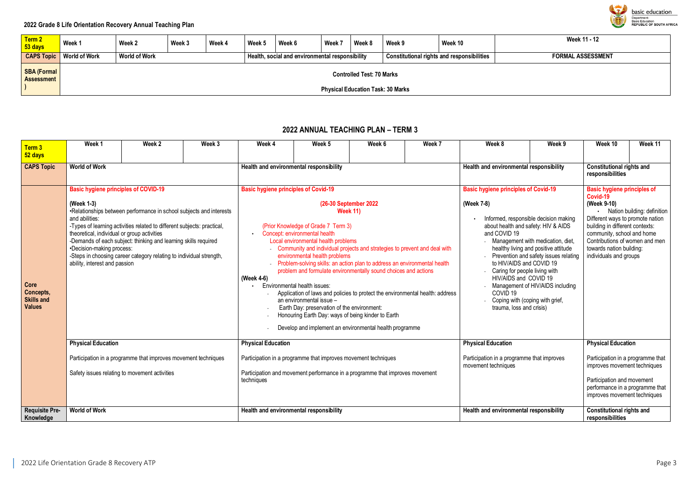| Term 2<br>53 days                       | Week 1                                                                       | Week 2               | Week 3 | Week 4 | Week 5 | Week 6                                          | Week 7 | Week 8 | Week 9 | Week 10                                           | <b>Week 11 - 12</b>  |
|-----------------------------------------|------------------------------------------------------------------------------|----------------------|--------|--------|--------|-------------------------------------------------|--------|--------|--------|---------------------------------------------------|----------------------|
| <b>CAPS Topic</b>                       | <b>World of Work</b>                                                         | <b>World of Work</b> |        |        |        | Health, social and environmental responsibility |        |        |        | <b>Constitutional rights and responsibilities</b> | <b>FORMAL ASSESS</b> |
| <b>SBA (Formal</b><br><b>Assessment</b> | <b>Controlled Test: 70 Marks</b><br><b>Physical Education Task: 30 Marks</b> |                      |        |        |        |                                                 |        |        |        |                                                   |                      |

### **CAPS Topic World of Work World of Work Health, social and environmental responsibility Constitutional rights and responsibilities FORMAL ASSESSMENT**

# **2022 ANNUAL TEACHING PLAN – TERM 3**

| Term 3<br>52 days                                       | Week 1                                                                                                                                                                                                                                                                                                                                                                                                                                                                               | Week 2 | Week 3 | Week 4                                                                                                    | Week 5                                                                                                                                                                                                                                                                                                        | Week 6                                                                                                                                                                                                                                                                                                                                                                                                            | Week 7                                                                                                                                                | Week 8                                                                                                                                                                                                                                                                                                                                 | Week 9                                                                                                                                                                                                                                                                                      | Week 10                                                                                                                                                                                         | Week 11 |  |  |
|---------------------------------------------------------|--------------------------------------------------------------------------------------------------------------------------------------------------------------------------------------------------------------------------------------------------------------------------------------------------------------------------------------------------------------------------------------------------------------------------------------------------------------------------------------|--------|--------|-----------------------------------------------------------------------------------------------------------|---------------------------------------------------------------------------------------------------------------------------------------------------------------------------------------------------------------------------------------------------------------------------------------------------------------|-------------------------------------------------------------------------------------------------------------------------------------------------------------------------------------------------------------------------------------------------------------------------------------------------------------------------------------------------------------------------------------------------------------------|-------------------------------------------------------------------------------------------------------------------------------------------------------|----------------------------------------------------------------------------------------------------------------------------------------------------------------------------------------------------------------------------------------------------------------------------------------------------------------------------------------|---------------------------------------------------------------------------------------------------------------------------------------------------------------------------------------------------------------------------------------------------------------------------------------------|-------------------------------------------------------------------------------------------------------------------------------------------------------------------------------------------------|---------|--|--|
| <b>CAPS Topic</b>                                       | <b>World of Work</b>                                                                                                                                                                                                                                                                                                                                                                                                                                                                 |        |        | Health and environmental responsibility                                                                   |                                                                                                                                                                                                                                                                                                               |                                                                                                                                                                                                                                                                                                                                                                                                                   |                                                                                                                                                       | Health and environmental responsibility                                                                                                                                                                                                                                                                                                |                                                                                                                                                                                                                                                                                             | <b>Constitutional rights and</b><br>responsibilities                                                                                                                                            |         |  |  |
| Core<br>Concepts,<br><b>Skills and</b><br><b>Values</b> | <b>Basic hygiene principles of COVID-19</b><br>(Week 1-3)<br>•Relationships between performance in school subjects and interests<br>and abilities:<br>-Types of learning activities related to different subjects: practical,<br>theoretical, individual or group activities<br>-Demands of each subject: thinking and learning skills required<br>•Decision-making process:<br>-Steps in choosing career category relating to individual strength,<br>ability, interest and passion |        |        | <b>Basic hygiene principles of Covid-19</b><br>(Week 4-6)                                                 | (Prior Knowledge of Grade 7 Term 3)<br>Concept: environmental health<br>Local environmental health problems<br>environmental health problems<br>Environmental health issues:<br>an environmental issue -<br>Earth Day: preservation of the environment:<br>Honouring Earth Day: ways of being kinder to Earth | (26-30 September 2022<br><b>Week 11)</b><br>Community and individual projects and strategies to prevent and deal with<br>Problem-solving skills: an action plan to address an environmental health<br>problem and formulate environmentally sound choices and actions<br>Application of laws and policies to protect the environmental health: address<br>Develop and implement an environmental health programme | <b>Basic hygiene principles of Covid-19</b><br>(Week 7-8)<br>and COVID 19<br>HIV/AIDS and COVID 19<br>COVID <sub>19</sub><br>trauma, loss and crisis) | Informed, responsible decision making<br>about health and safety: HIV & AIDS<br>Management with medication, diet,<br>healthy living and positive attitude<br>Prevention and safety issues relating<br>to HIV/AIDS and COVID 19<br>Caring for people living with<br>Management of HIV/AIDS including<br>Coping with (coping with grief, | <b>Basic hygiene principles of</b><br>Covid-19<br>(Week 9-10)<br>· Nation building: definition<br>Different ways to promote nation<br>building in different contexts:<br>community, school and home<br>Contributions of women and men<br>towards nation building:<br>individuals and groups |                                                                                                                                                                                                 |         |  |  |
|                                                         | <b>Physical Education</b><br>Participation in a programme that improves movement techniques<br>Safety issues relating to movement activities                                                                                                                                                                                                                                                                                                                                         |        |        | <b>Physical Education</b><br>Participation in a programme that improves movement techniques<br>techniques |                                                                                                                                                                                                                                                                                                               | Participation and movement performance in a programme that improves movement                                                                                                                                                                                                                                                                                                                                      |                                                                                                                                                       | <b>Physical Education</b><br>Participation in a programme that improves<br>movement techniques                                                                                                                                                                                                                                         |                                                                                                                                                                                                                                                                                             | <b>Physical Education</b><br>Participation in a programme that<br>improves movement techniques<br>Participation and movement<br>performance in a programme that<br>improves movement techniques |         |  |  |
| <b>Requisite Pre-</b><br>Knowledge                      | <b>World of Work</b>                                                                                                                                                                                                                                                                                                                                                                                                                                                                 |        |        | Health and environmental responsibility                                                                   |                                                                                                                                                                                                                                                                                                               |                                                                                                                                                                                                                                                                                                                                                                                                                   |                                                                                                                                                       | Health and environmental responsibility                                                                                                                                                                                                                                                                                                |                                                                                                                                                                                                                                                                                             | <b>Constitutional rights and</b><br>responsibilities                                                                                                                                            |         |  |  |

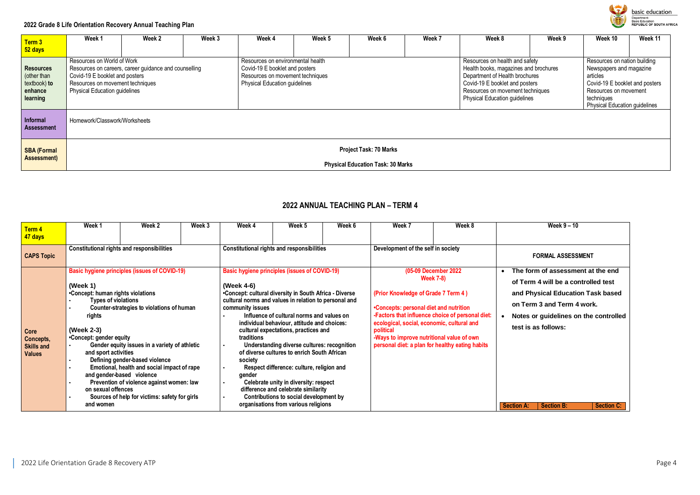### **2022 Grade 8 Life Orientation Recovery Annual Teaching Plan**

| Term 3<br>52 days                                                      | Week 1                                                                                                                                                                                            | Week 2 | Week 3 | Week 4                                                                                                                                          | Week 5 | Week 6 | Week 7 | Week 8                                                                                                                                                                                                                  | Week 9 | Week 10                                                                                                                                                                              | Week 11 |  |
|------------------------------------------------------------------------|---------------------------------------------------------------------------------------------------------------------------------------------------------------------------------------------------|--------|--------|-------------------------------------------------------------------------------------------------------------------------------------------------|--------|--------|--------|-------------------------------------------------------------------------------------------------------------------------------------------------------------------------------------------------------------------------|--------|--------------------------------------------------------------------------------------------------------------------------------------------------------------------------------------|---------|--|
| <b>Resources</b><br>(other than<br>textbook) to<br>enhance<br>learning | Resources on World of Work<br>Resources on careers, career guidance and counselling<br>Covid-19 E booklet and posters<br>Resources on movement techniques<br><b>Physical Education guidelines</b> |        |        | Resources on environmental health<br>Covid-19 E booklet and posters<br>Resources on movement techniques<br><b>Physical Education guidelines</b> |        |        |        | Resources on health and safety<br>Health books, magazines and brochures<br>Department of Health brochures<br>Covid-19 E booklet and posters<br>Resources on movement techniques<br><b>Physical Education guidelines</b> |        | Resources on nation building<br>Newspapers and magazine<br>articles<br>Covid-19 E booklet and posters<br>Resources on movement<br>techniques<br><b>Physical Education guidelines</b> |         |  |
| <b>Informal</b><br><b>Assessment</b>                                   | Homework/Classwork/Worksheets                                                                                                                                                                     |        |        |                                                                                                                                                 |        |        |        |                                                                                                                                                                                                                         |        |                                                                                                                                                                                      |         |  |
| <b>SBA (Formal</b><br><b>Assessment</b> )                              | <b>Project Task: 70 Marks</b><br><b>Physical Education Task: 30 Marks</b>                                                                                                                         |        |        |                                                                                                                                                 |        |        |        |                                                                                                                                                                                                                         |        |                                                                                                                                                                                      |         |  |

# **2022 ANNUAL TEACHING PLAN – TERM 4**

|                                | Week 1                            | Week 2                                               | Week 3 | Week 4                                                 | Week 5                                                                              | Week 6 | Week 7                                                  | Week 8                                           |                                                                 | Week $9 - 10$                       |                   |  |  |
|--------------------------------|-----------------------------------|------------------------------------------------------|--------|--------------------------------------------------------|-------------------------------------------------------------------------------------|--------|---------------------------------------------------------|--------------------------------------------------|-----------------------------------------------------------------|-------------------------------------|-------------------|--|--|
| Term 4                         |                                   |                                                      |        |                                                        |                                                                                     |        |                                                         |                                                  |                                                                 |                                     |                   |  |  |
| 47 days                        |                                   |                                                      |        |                                                        |                                                                                     |        |                                                         |                                                  |                                                                 |                                     |                   |  |  |
|                                |                                   | <b>Constitutional rights and responsibilities</b>    |        | <b>Constitutional rights and responsibilities</b>      |                                                                                     |        | Development of the self in society                      |                                                  |                                                                 |                                     |                   |  |  |
| <b>CAPS Topic</b>              |                                   |                                                      |        |                                                        |                                                                                     |        |                                                         |                                                  | <b>FORMAL ASSESSMENT</b>                                        |                                     |                   |  |  |
|                                |                                   | <b>Basic hygiene principles (issues of COVID-19)</b> |        | <b>Basic hygiene principles (issues of COVID-19)</b>   |                                                                                     |        |                                                         | (05-09 December 2022                             | $\bullet$                                                       | The form of assessment at the end   |                   |  |  |
|                                |                                   |                                                      |        |                                                        |                                                                                     |        |                                                         | <b>Week 7-8)</b>                                 |                                                                 |                                     |                   |  |  |
|                                | (Week 1)                          |                                                      |        | (Week 4-6)                                             |                                                                                     |        |                                                         |                                                  |                                                                 | of Term 4 will be a controlled test |                   |  |  |
|                                | •Concept: human rights violations |                                                      |        | •Concept: cultural diversity in South Africa - Diverse |                                                                                     |        | (Prior Knowledge of Grade 7 Term 4)                     |                                                  | and Physical Education Task based<br>on Term 3 and Term 4 work. |                                     |                   |  |  |
|                                | <b>Types of violations</b>        |                                                      |        | cultural norms and values in relation to personal and  |                                                                                     |        |                                                         |                                                  |                                                                 |                                     |                   |  |  |
|                                |                                   | Counter-strategies to violations of human            |        | community issues                                       |                                                                                     |        | •Concepts: personal diet and nutrition                  |                                                  |                                                                 |                                     |                   |  |  |
|                                | rights                            |                                                      |        |                                                        | Influence of cultural norms and values on                                           |        |                                                         | -Factors that influence choice of personal diet: | Notes or guidelines on the controlled<br>$\bullet$              |                                     |                   |  |  |
|                                | (Week 2-3)                        |                                                      |        |                                                        | individual behaviour, attitude and choices:<br>cultural expectations, practices and |        | ecological, social, economic, cultural and<br>political |                                                  |                                                                 | test is as follows:                 |                   |  |  |
| Core                           | •Concept: gender equity           |                                                      |        | traditions                                             |                                                                                     |        | -Ways to improve nutritional value of own               |                                                  |                                                                 |                                     |                   |  |  |
| Concepts,<br><b>Skills and</b> |                                   | Gender equity issues in a variety of athletic        |        |                                                        | Understanding diverse cultures: recognition                                         |        | personal diet: a plan for healthy eating habits         |                                                  |                                                                 |                                     |                   |  |  |
| <b>Values</b>                  | and sport activities              |                                                      |        |                                                        | of diverse cultures to enrich South African                                         |        |                                                         |                                                  |                                                                 |                                     |                   |  |  |
|                                |                                   | Defining gender-based violence                       |        | society                                                |                                                                                     |        |                                                         |                                                  |                                                                 |                                     |                   |  |  |
|                                | ٠.                                | Emotional, health and social impact of rape          |        |                                                        | Respect difference: culture, religion and                                           |        |                                                         |                                                  |                                                                 |                                     |                   |  |  |
|                                |                                   | and gender-based violence                            |        | gender                                                 |                                                                                     |        |                                                         |                                                  |                                                                 |                                     |                   |  |  |
|                                |                                   | Prevention of violence against women: law            |        |                                                        | Celebrate unity in diversity: respect                                               |        |                                                         |                                                  |                                                                 |                                     |                   |  |  |
|                                | on sexual offences                |                                                      |        |                                                        | difference and celebrate similarity                                                 |        |                                                         |                                                  |                                                                 |                                     |                   |  |  |
|                                | and women                         | Sources of help for victims: safety for girls        |        |                                                        | Contributions to social development by<br>organisations from various religions      |        |                                                         |                                                  |                                                                 |                                     |                   |  |  |
|                                |                                   |                                                      |        |                                                        |                                                                                     |        |                                                         |                                                  | <b>Section A:</b>                                               | <b>Section B:</b>                   | <b>Section C:</b> |  |  |

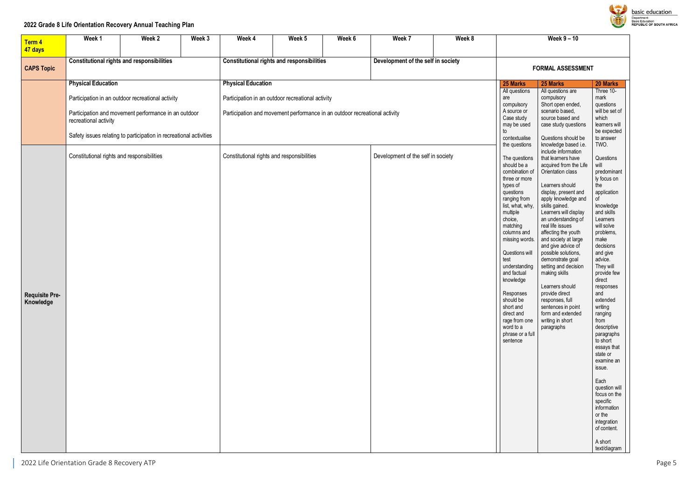### **2022 Grade 8 Life Orientation Recovery Annual Teaching Plan**

| Term 4                             | Week 1                                                                                                                                                                                                                                | Week 2 | Week 3 | Week 4                                     | Week 5                                                                                                                          | Week 6 | Week 7                                                                                                                             | Week 8                                                                                                                                                                                                |                                                                                                                                                                                                                                                                                                                                                                                            | Week 9 - 10                                                                                                                                                                                                                                                                                                                                                                                                                                                                                                             |                                                                                                                                                                                                                                                                                                                                                                                                                                                                                                                                  |
|------------------------------------|---------------------------------------------------------------------------------------------------------------------------------------------------------------------------------------------------------------------------------------|--------|--------|--------------------------------------------|---------------------------------------------------------------------------------------------------------------------------------|--------|------------------------------------------------------------------------------------------------------------------------------------|-------------------------------------------------------------------------------------------------------------------------------------------------------------------------------------------------------|--------------------------------------------------------------------------------------------------------------------------------------------------------------------------------------------------------------------------------------------------------------------------------------------------------------------------------------------------------------------------------------------|-------------------------------------------------------------------------------------------------------------------------------------------------------------------------------------------------------------------------------------------------------------------------------------------------------------------------------------------------------------------------------------------------------------------------------------------------------------------------------------------------------------------------|----------------------------------------------------------------------------------------------------------------------------------------------------------------------------------------------------------------------------------------------------------------------------------------------------------------------------------------------------------------------------------------------------------------------------------------------------------------------------------------------------------------------------------|
| 47 days<br><b>CAPS Topic</b>       | <b>Constitutional rights and responsibilities</b>                                                                                                                                                                                     |        |        |                                            | <b>Constitutional rights and responsibilities</b>                                                                               |        | Development of the self in society                                                                                                 |                                                                                                                                                                                                       |                                                                                                                                                                                                                                                                                                                                                                                            | <b>FORMAL ASSESSMENT</b>                                                                                                                                                                                                                                                                                                                                                                                                                                                                                                |                                                                                                                                                                                                                                                                                                                                                                                                                                                                                                                                  |
|                                    | <b>Physical Education</b><br>Participation in an outdoor recreational activity<br>Participation and movement performance in an outdoor<br>recreational activity<br>Safety issues relating to participation in recreational activities |        |        | <b>Physical Education</b>                  | Participation in an outdoor recreational activity<br>Participation and movement performance in an outdoor recreational activity |        | 25 Marks<br>All questions<br>are<br>compulsory<br>A source or<br>Case study<br>may be used<br>to<br>contextualise<br>the questions | 25 Marks<br>All questions are<br>compulsory<br>Short open ended,<br>scenario based,<br>source based and<br>case study questions<br>Questions should be<br>knowledge based i.e.<br>include information | 20 Marks<br>Three 10-<br>mark<br>questions<br>will be set of<br>which<br>learners will<br>be expected<br>to answer<br>TWO.                                                                                                                                                                                                                                                                 |                                                                                                                                                                                                                                                                                                                                                                                                                                                                                                                         |                                                                                                                                                                                                                                                                                                                                                                                                                                                                                                                                  |
| <b>Requisite Pre-</b><br>Knowledge | Constitutional rights and responsibilities                                                                                                                                                                                            |        |        | Constitutional rights and responsibilities |                                                                                                                                 |        | Development of the self in society                                                                                                 |                                                                                                                                                                                                       | The questions<br>should be a<br>combination of<br>three or more<br>types of<br>questions<br>ranging from<br>list, what, why,<br>multiple<br>choice,<br>matching<br>columns and<br>missing words.<br>Questions will<br>test<br>understanding<br>and factual<br>knowledge<br>Responses<br>should be<br>short and<br>direct and<br>rage from one<br>word to a<br>phrase or a full<br>sentence | that learners have<br>acquired from the Life<br>Orientation class<br>Learners should<br>display, present and<br>apply knowledge and<br>skills gained.<br>Learners will display<br>an understanding of<br>real life issues<br>affecting the youth<br>and society at large<br>and give advice of<br>possible solutions,<br>demonstrate goal<br>setting and decision<br>making skills<br>Learners should<br>provide direct<br>responses, full<br>sentences in point<br>form and extended<br>writing in short<br>paragraphs | Questions<br>will<br>predominant<br>ly focus on<br>the<br>application<br>οf<br>knowledge<br>and skills<br>Learners<br>will solve<br>problems,<br>make<br>decisions<br>and give<br>advice.<br>They will<br>provide few<br>direct<br>responses<br>and<br>extended<br>writing<br>ranging<br>from<br>descriptive<br>paragraphs<br>to short<br>essays that<br>state or<br>examine an<br>issue.<br>Each<br>question will<br>focus on the<br>specific<br>information<br>or the<br>integration<br>of content.<br>A short<br>text/diagram |



basic education Department:<br>Department:<br>Basic Education<br>REPUBLIC OF SOUTH AFRICA